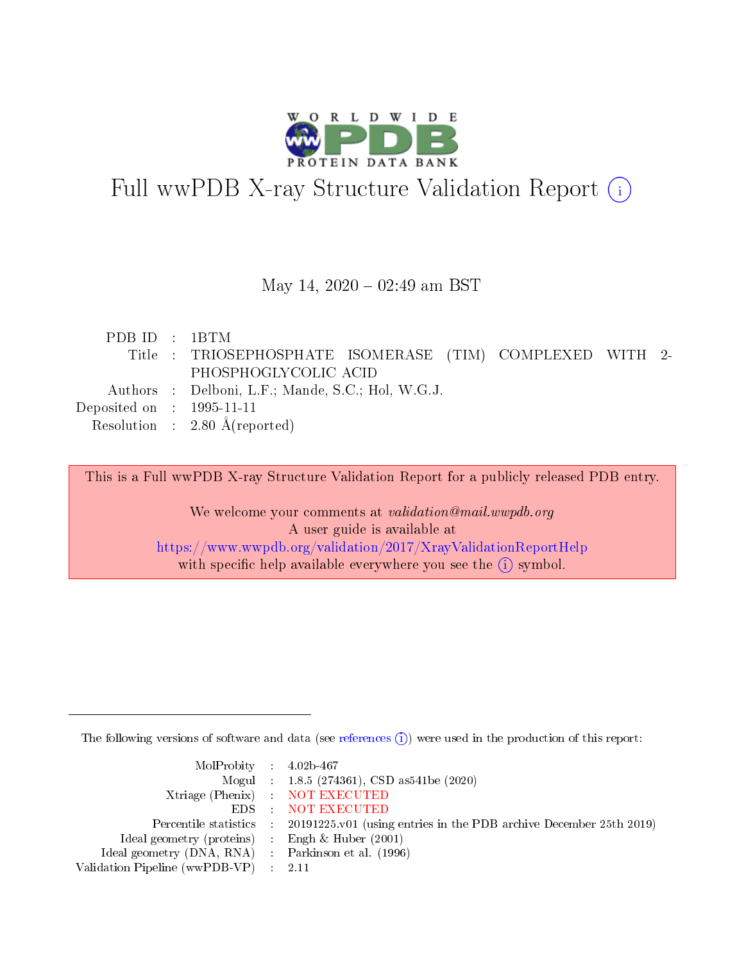

# Full wwPDB X-ray Structure Validation Report (i)

#### May 14,  $2020 - 02:49$  am BST

| PDB ID : 1BTM                        |                                                           |
|--------------------------------------|-----------------------------------------------------------|
|                                      | Title : TRIOSEPHOSPHATE ISOMERASE (TIM) COMPLEXED WITH 2- |
|                                      | PHOSPHOGLYCOLIC ACID                                      |
|                                      | Authors : Delboni, L.F.; Mande, S.C.; Hol, W.G.J.         |
| Deposited on $\therefore$ 1995-11-11 |                                                           |
|                                      | Resolution : $2.80 \text{ Å}$ (reported)                  |

This is a Full wwPDB X-ray Structure Validation Report for a publicly released PDB entry.

We welcome your comments at validation@mail.wwpdb.org A user guide is available at <https://www.wwpdb.org/validation/2017/XrayValidationReportHelp> with specific help available everywhere you see the  $(i)$  symbol.

The following versions of software and data (see [references](https://www.wwpdb.org/validation/2017/XrayValidationReportHelp#references)  $(i)$ ) were used in the production of this report:

| $MolProbability$ 4.02b-467                          |                                                                                            |
|-----------------------------------------------------|--------------------------------------------------------------------------------------------|
|                                                     | Mogul : 1.8.5 (274361), CSD as541be (2020)                                                 |
|                                                     | Xtriage (Phenix) NOT EXECUTED                                                              |
|                                                     | EDS : NOT EXECUTED                                                                         |
|                                                     | Percentile statistics : 20191225.v01 (using entries in the PDB archive December 25th 2019) |
| Ideal geometry (proteins) : Engh $\&$ Huber (2001)  |                                                                                            |
| Ideal geometry (DNA, RNA) : Parkinson et al. (1996) |                                                                                            |
| Validation Pipeline (wwPDB-VP) : 2.11               |                                                                                            |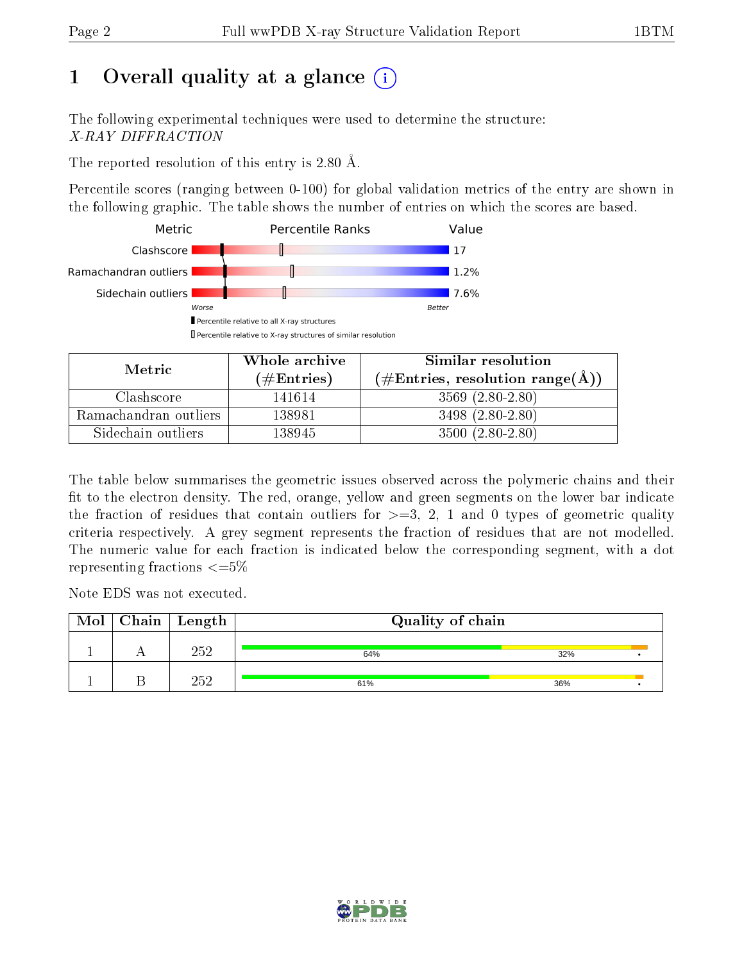## 1 [O](https://www.wwpdb.org/validation/2017/XrayValidationReportHelp#overall_quality)verall quality at a glance  $(i)$

The following experimental techniques were used to determine the structure: X-RAY DIFFRACTION

The reported resolution of this entry is 2.80 Å.

Percentile scores (ranging between 0-100) for global validation metrics of the entry are shown in the following graphic. The table shows the number of entries on which the scores are based.



| Metric                | Whole archive       | Similar resolution                                        |  |  |
|-----------------------|---------------------|-----------------------------------------------------------|--|--|
|                       | (# $\rm{Entries}$ ) | $(\#\text{Entries}, \text{resolution range}(\text{\AA}))$ |  |  |
| Clashscore            | 141614              | $3569(2.80-2.80)$                                         |  |  |
| Ramachandran outliers | 138981              | $3498(2.80-2.80)$                                         |  |  |
| Sidechain outliers    | 138945              | $3500(2.80-2.80)$                                         |  |  |

The table below summarises the geometric issues observed across the polymeric chains and their fit to the electron density. The red, orange, yellow and green segments on the lower bar indicate the fraction of residues that contain outliers for  $\geq=3$ , 2, 1 and 0 types of geometric quality criteria respectively. A grey segment represents the fraction of residues that are not modelled. The numeric value for each fraction is indicated below the corresponding segment, with a dot representing fractions  $\leq=5\%$ 

Note EDS was not executed.

| Mol | $\mid$ Chain $\mid$ Length $\mid$ | Quality of chain |     |  |  |  |
|-----|-----------------------------------|------------------|-----|--|--|--|
|     | 252                               | 64%              | 32% |  |  |  |
|     | 252                               | 61%              | 36% |  |  |  |

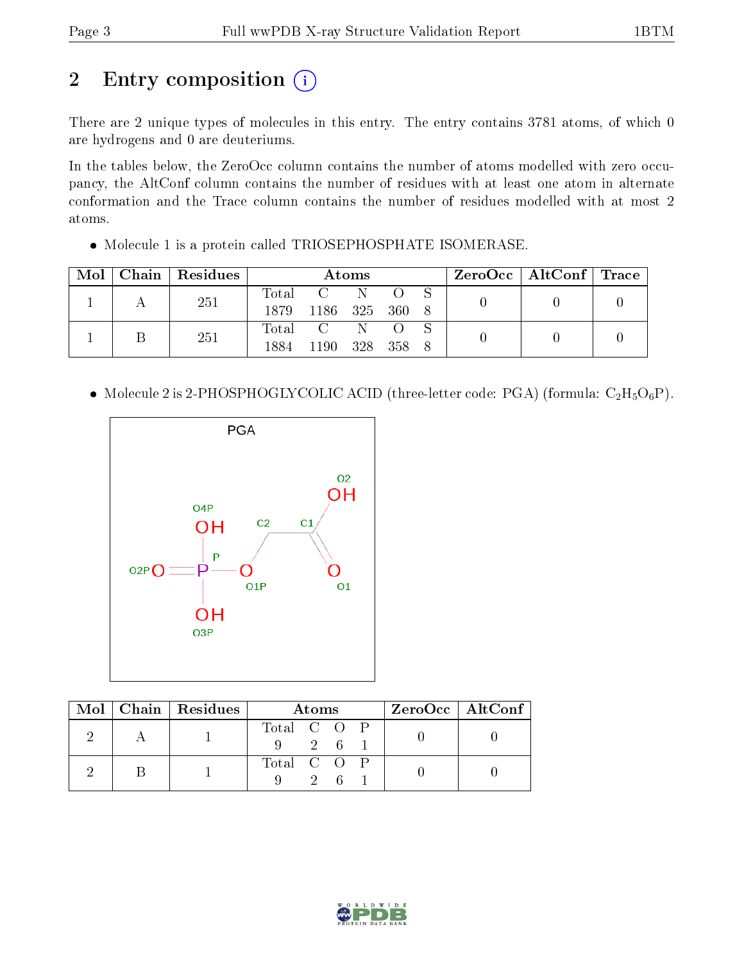## 2 Entry composition (i)

There are 2 unique types of molecules in this entry. The entry contains 3781 atoms, of which 0 are hydrogens and 0 are deuteriums.

In the tables below, the ZeroOcc column contains the number of atoms modelled with zero occupancy, the AltConf column contains the number of residues with at least one atom in alternate conformation and the Trace column contains the number of residues modelled with at most 2 atoms.

Molecule 1 is a protein called TRIOSEPHOSPHATE ISOMERASE.

| Mol | Chain   Residues | Atoms |                |    |  |  | $\rm{ZeroOcc}$   $\rm{AltConf}$   $\rm{Trace}$ |  |  |
|-----|------------------|-------|----------------|----|--|--|------------------------------------------------|--|--|
|     | 251              | Total | $C = N$        |    |  |  |                                                |  |  |
|     |                  | 1879. | 1186 325 360 8 |    |  |  |                                                |  |  |
|     | 251              |       | Total C        | N. |  |  |                                                |  |  |
|     |                  | 1884  | 1190 328 358 8 |    |  |  |                                                |  |  |

• Molecule 2 is 2-PHOSPHOGLYCOLIC ACID (three-letter code: PGA) (formula:  $C_2H_5O_6P$ ).



|  | $\text{Mol}$   Chain   Residues | Atoms                          |                |  |  | $ZeroOcc \mid AltConf \mid$ |
|--|---------------------------------|--------------------------------|----------------|--|--|-----------------------------|
|  |                                 | Total C O P<br>$9 \t2 \t6 \t1$ |                |  |  |                             |
|  |                                 | Total C O P                    | 2 <sub>6</sub> |  |  |                             |

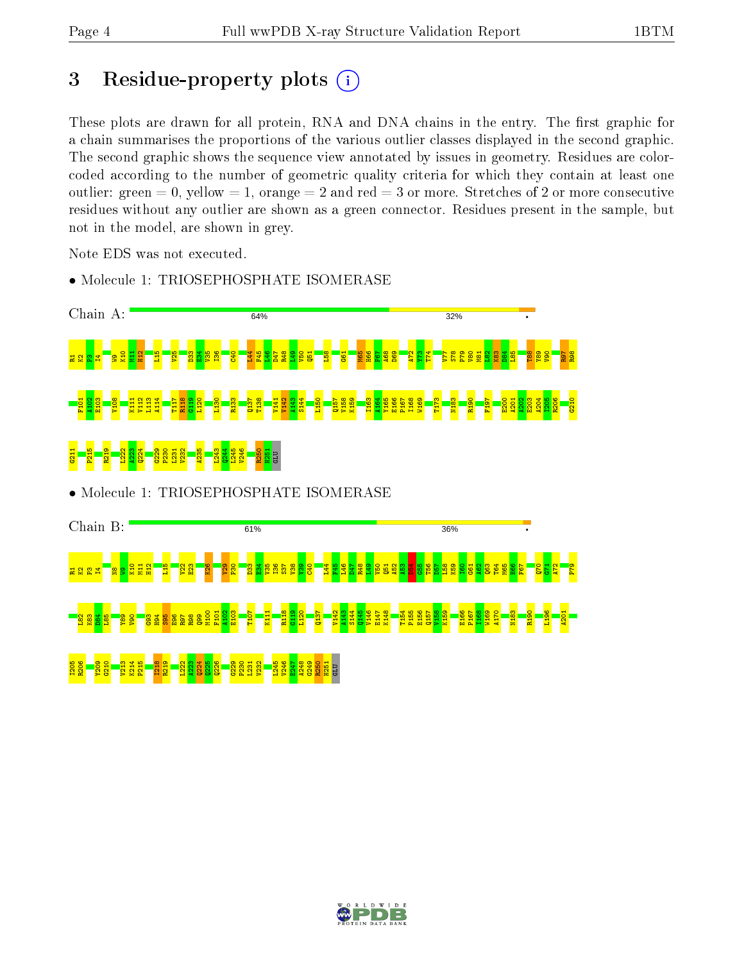## 3 Residue-property plots  $(i)$

These plots are drawn for all protein, RNA and DNA chains in the entry. The first graphic for a chain summarises the proportions of the various outlier classes displayed in the second graphic. The second graphic shows the sequence view annotated by issues in geometry. Residues are colorcoded according to the number of geometric quality criteria for which they contain at least one outlier: green  $= 0$ , yellow  $= 1$ , orange  $= 2$  and red  $= 3$  or more. Stretches of 2 or more consecutive residues without any outlier are shown as a green connector. Residues present in the sample, but not in the model, are shown in grey.

Note EDS was not executed.



• Molecule 1: TRIOSEPHOSPHATE ISOMERASE

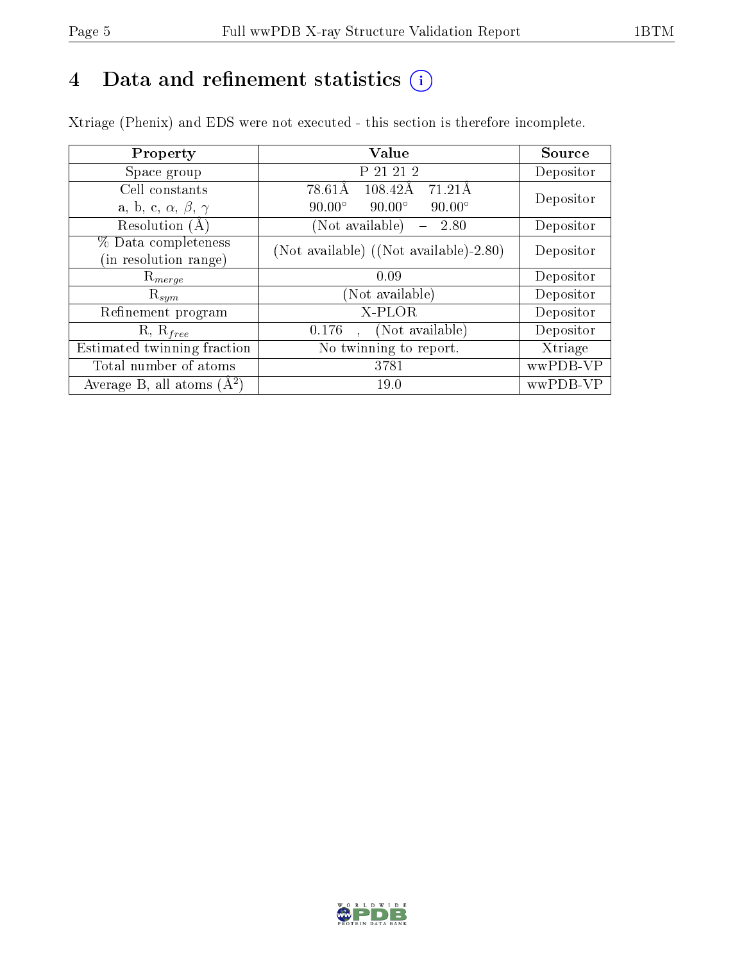## 4 Data and refinement statistics  $(i)$

Xtriage (Phenix) and EDS were not executed - this section is therefore incomplete.

| Property                               | Value                                               | Source    |  |
|----------------------------------------|-----------------------------------------------------|-----------|--|
| Space group                            | P 21 21 2                                           | Depositor |  |
| Cell constants                         | $\overline{71.21A}$<br>78.61Å<br>108.42Å            | Depositor |  |
| a, b, c, $\alpha$ , $\beta$ , $\gamma$ | $90.00^\circ$<br>$90.00^\circ$<br>$90.00^\circ$     |           |  |
| Resolution $(A)$                       | (Not available)<br>2.80<br>$\overline{\phantom{0}}$ | Depositor |  |
| % Data completeness                    | (Not available) ((Not available)-2.80)              | Depositor |  |
| (in resolution range)                  |                                                     |           |  |
| $\mathrm{R}_{merge}$                   | 0.09                                                | Depositor |  |
| $\mathrm{R}_{sym}$                     | (Not available)                                     | Depositor |  |
| Refinement program                     | X-PLOR                                              | Depositor |  |
| $R, R_{free}$                          | (Not available)<br>0.176                            | Depositor |  |
| Estimated twinning fraction            | No twinning to report.                              | Xtriage   |  |
| Total number of atoms                  | 3781                                                | wwPDB-VP  |  |
| Average B, all atoms $(A^2)$           | 19.0                                                | wwPDB-VP  |  |

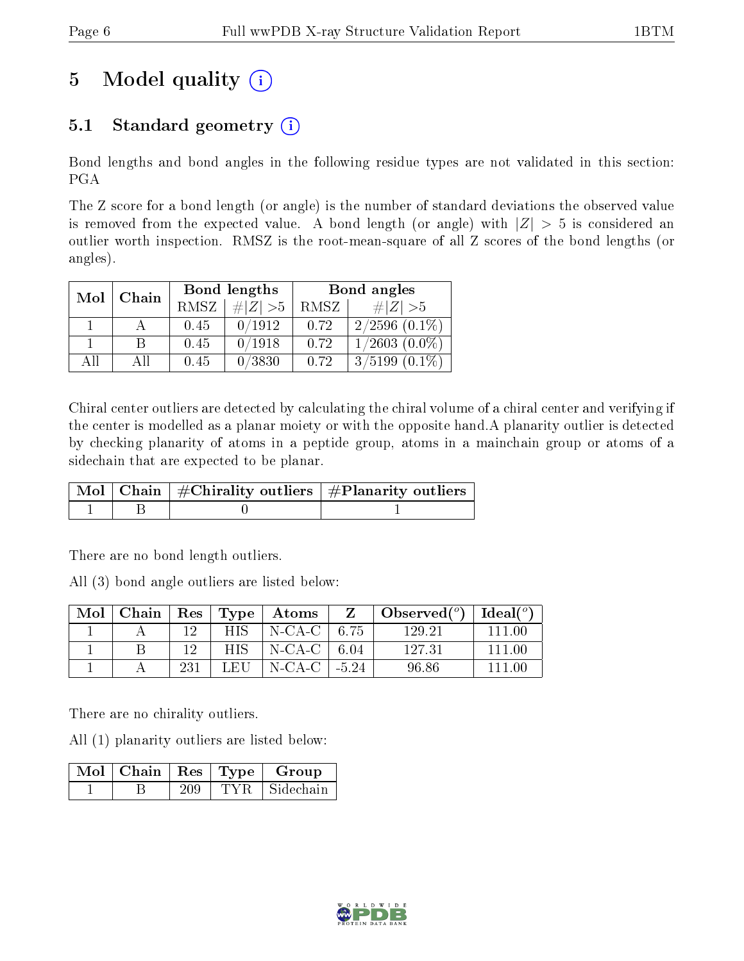## 5 Model quality  $(i)$

### 5.1 Standard geometry  $(i)$

Bond lengths and bond angles in the following residue types are not validated in this section: PGA

The Z score for a bond length (or angle) is the number of standard deviations the observed value is removed from the expected value. A bond length (or angle) with  $|Z| > 5$  is considered an outlier worth inspection. RMSZ is the root-mean-square of all Z scores of the bond lengths (or angles).

| Mol | Chain |             | Bond lengths | Bond angles |                    |  |
|-----|-------|-------------|--------------|-------------|--------------------|--|
|     |       | <b>RMSZ</b> | $\ Z\  > 5$  | RMSZ        | # $ Z  > 5$        |  |
|     |       | 0.45        | 0/1912       | 0.72        | $2/2596$ $(0.1\%)$ |  |
|     | B     | 0.45        | 0/1918       | 0.72        | $1/2603(0.0\%)$    |  |
| AĦ  | АH    | 0.45        | 0/3830       | 0.72        | $3/5199(0.1\%)$    |  |

Chiral center outliers are detected by calculating the chiral volume of a chiral center and verifying if the center is modelled as a planar moiety or with the opposite hand.A planarity outlier is detected by checking planarity of atoms in a peptide group, atoms in a mainchain group or atoms of a sidechain that are expected to be planar.

|  | $\mid$ Mol $\mid$ Chain $\mid$ #Chirality outliers $\mid$ #Planarity outliers $'$ |
|--|-----------------------------------------------------------------------------------|
|  |                                                                                   |

There are no bond length outliers.

All (3) bond angle outliers are listed below:

| Mol | Chain |     | $\operatorname{Res}$   $\operatorname{Type}$ | $\boldsymbol{\mathrm{Atoms}}$ |            | Observed $(^\circ)$ | $\text{Ideal}({}^o)$ |
|-----|-------|-----|----------------------------------------------|-------------------------------|------------|---------------------|----------------------|
|     |       | 19. | HIS .                                        | N-CA-C   6.75                 |            | 129.21              | 111 00               |
|     |       | 19  | HIS.                                         | $\vert$ N-CA-C $\vert$ 6.04   |            | 127.31              | 111 00               |
|     |       | 231 | LEH                                          | N-CA-C                        | $1 - 5.24$ | 96.86               |                      |

There are no chirality outliers.

All (1) planarity outliers are listed below:

|  |  | $\sqrt{\text{Mol}}$   Chain   Res   Type   Group |
|--|--|--------------------------------------------------|
|  |  | TYR Sidechain                                    |

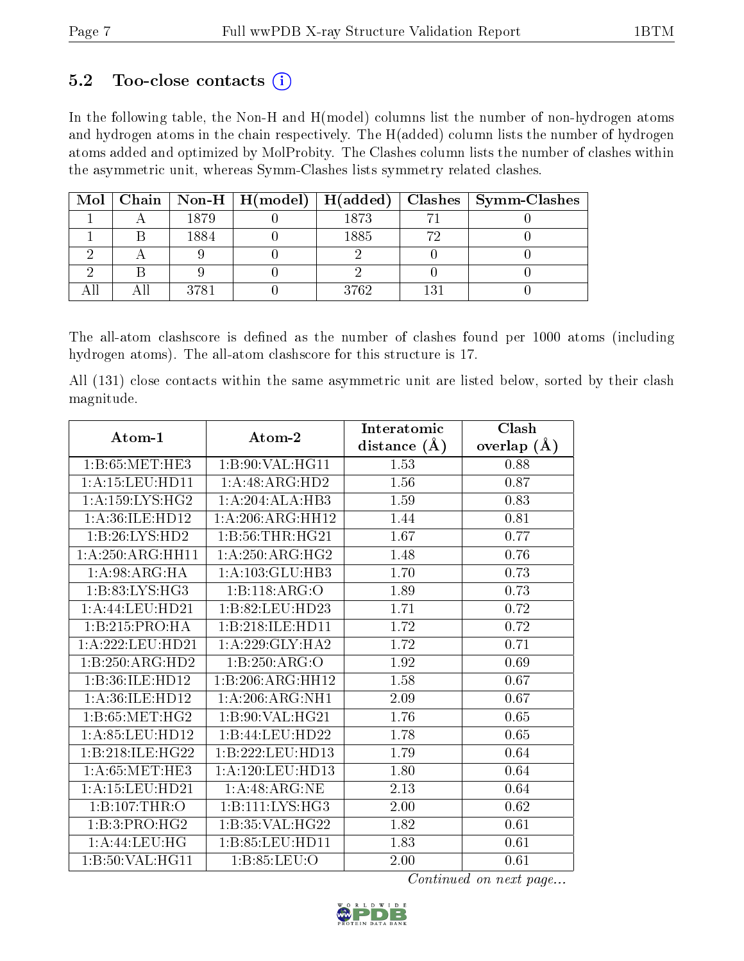#### 5.2 Too-close contacts  $(i)$

In the following table, the Non-H and H(model) columns list the number of non-hydrogen atoms and hydrogen atoms in the chain respectively. The H(added) column lists the number of hydrogen atoms added and optimized by MolProbity. The Clashes column lists the number of clashes within the asymmetric unit, whereas Symm-Clashes lists symmetry related clashes.

|  |      |      |     | Mol   Chain   Non-H   H(model)   H(added)   Clashes   Symm-Clashes |
|--|------|------|-----|--------------------------------------------------------------------|
|  | 1879 | 1873 |     |                                                                    |
|  | 1884 | 1885 |     |                                                                    |
|  |      |      |     |                                                                    |
|  |      |      |     |                                                                    |
|  | 3781 | 3762 | 121 |                                                                    |

The all-atom clashscore is defined as the number of clashes found per 1000 atoms (including hydrogen atoms). The all-atom clashscore for this structure is 17.

All (131) close contacts within the same asymmetric unit are listed below, sorted by their clash magnitude.

| Atom-1              | Atom-2              | Interatomic      | Clash         |
|---------------------|---------------------|------------------|---------------|
|                     |                     | distance $(\AA)$ | overlap $(A)$ |
| 1: B:65: MET:HE3    | 1:B:90:VAL:HG11     | 1.53             | 0.88          |
| 1: A: 15: LEU: HD11 | 1:A:48:ARG:HD2      | 1.56             | 0.87          |
| 1: A: 159: LYS: HG2 | 1:A:204:ALA:HB3     | 1.59             | 0.83          |
| 1: A:36: ILE: HD12  | 1: A:206:ARG:HH12   | 1.44             | 0.81          |
| 1:B:26:LYS:HD2      | 1:B:56:THR:HG21     | 1.67             | 0.77          |
| 1:A:250:ARG:HH11    | 1: A:250:ARG:HG2    | 1.48             | 0.76          |
| 1: A:98: ARG: HA    | 1:A:103:GLU:HB3     | 1.70             | 0.73          |
| 1:B:83:LYS:HG3      | 1:B:118:ARG:O       | 1.89             | 0.73          |
| 1:A:44:LEU:HD21     | 1:B:82:LEU:HD23     | 1.71             | 0.72          |
| 1:B:215:PRO:HA      | 1:B:218:ILE:HD11    | 1.72             | 0.72          |
| 1:A:222:LEU:HD21    | 1:A:229:GLY:HA2     | 1.72             | 0.71          |
| 1:B:250:ARG:HD2     | 1:B:250:ARG:O       | 1.92             | 0.69          |
| 1:B:36:ILE:HD12     | 1:B:206:ARG:HH12    | 1.58             | 0.67          |
| 1: A:36: ILE: HD12  | 1:A:206:ARG:NH1     | 2.09             | 0.67          |
| 1: B:65: MET:HG2    | 1:B:90:VAL:HG21     | 1.76             | 0.65          |
| 1: A:85:LEU:HD12    | 1:B:44:LEU:HD22     | 1.78             | 0.65          |
| 1:B:218:ILE:HG22    | 1:B:222:LEU:HD13    | 1.79             | 0.64          |
| 1: A:65: MET:HE3    | 1:A:120:LEU:HD13    | 1.80             | 0.64          |
| 1:A:15:LEU:HD21     | 1:A:48:ARG:NE       | 2.13             | 0.64          |
| 1:B:107:THR:O       | 1: B: 111: LYS: HG3 | 2.00             | 0.62          |
| 1:B:3:PRO:HG2       | 1:B:35:VAL:HG22     | 1.82             | 0.61          |
| 1:A:44:LEU:HG       | 1:B:85:LEU:HD11     | 1.83             | 0.61          |
| 1:B:50:VAL:HG11     | 1:B:85:LEU:O        | 2.00             | 0.61          |

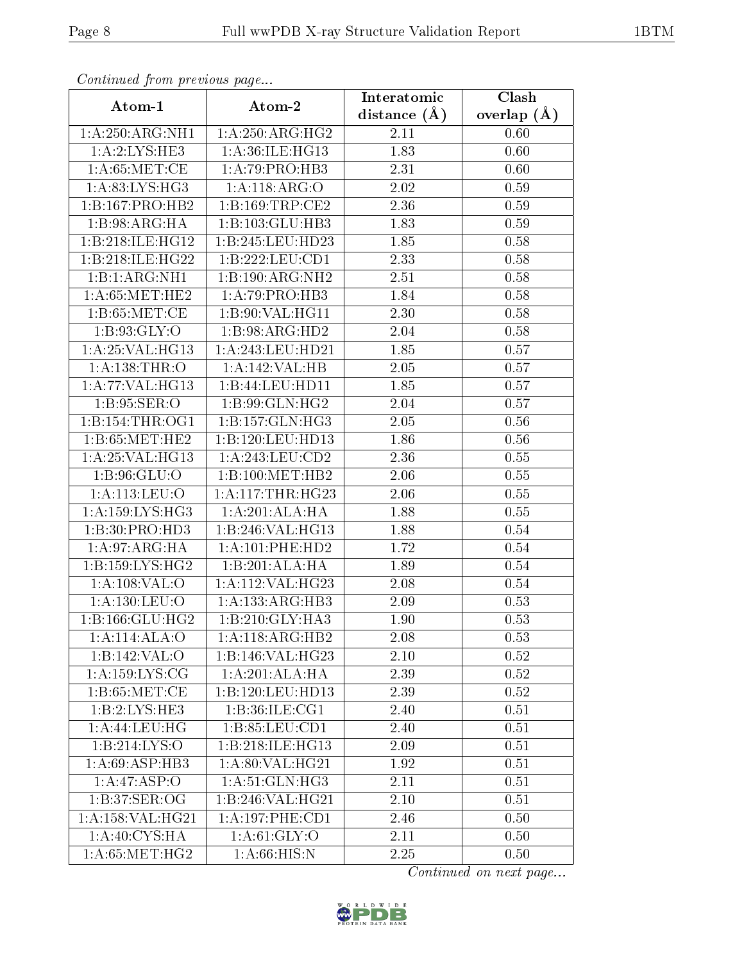| Continuaca from previous page |                                      | Interatomic    | Clash           |
|-------------------------------|--------------------------------------|----------------|-----------------|
| Atom-1                        | Atom-2                               | distance $(A)$ | overlap $(\AA)$ |
| 1:A:250:ARG:NH1               | 1:A:250:ARG:HG2                      | 2.11           | 0.60            |
| 1: A:2:LYS:HE3                | 1:A:36:ILE:HG13                      | 1.83           | 0.60            |
| 1: A:65: MET:CE               | 1:A:79:PRO:HB3                       | 2.31           | 0.60            |
| 1: A:83: LYS: HG3             | 1:A:118:ARG:O                        | 2.02           | 0.59            |
| 1:B:167:PRO:HB2               | 1:B:169:TRP:CE2                      | 2.36           | 0.59            |
| 1:B:98:ARG:HA                 | 1:B:103:GLU:HB3                      | 1.83           | 0.59            |
| 1:B:218:ILE:HG12              | 1:B:245:LEU:HD23                     | 1.85           | 0.58            |
| 1:B:218:ILE:HG22              | 1:B:222:LEU:CD1                      | 2.33           | 0.58            |
| 1:B:1:ARG:NH1                 | 1:B:190:ARG:NH2                      | 2.51           | 0.58            |
| 1: A:65: MET:HE2              | 1:A:79:PRO:HB3                       | 1.84           | 0.58            |
| 1: B:65:MET:CE                | 1:B:90:VAL:HG11                      | 2.30           | 0.58            |
| 1:B:93:GLY:O                  | 1:B:98:ARG:HD2                       | 2.04           | 0.58            |
| 1: A:25: VAL:HG13             | 1:A:243:LEU:HD21                     | 1.85           | 0.57            |
| 1: A: 138: THR:O              | 1:A:142:VAL:HB                       | 2.05           | 0.57            |
| 1:A:77:VAL:HG13               | 1:B:44:LEU:HD11                      | 1.85           | 0.57            |
| 1: B:95: SER:O                | 1:B:99:GLN:HG2                       | 2.04           | 0.57            |
| 1:B:154:THR:OG1               | 1:B:157:GLN:HG3                      | 2.05           | 0.56            |
| 1: B:65:MET:HE2               | 1:B:120:LEU:HD13                     | 1.86           | 0.56            |
| 1:A:25:VAL:HG13               | 1: A:243:LEU:CD2                     | 2.36           | 0.55            |
| 1: B:96: GLU:O                | 1:B:100:MET:HB2                      | 2.06           | 0.55            |
| 1: A:113: LEU:O               | 1: A:117:THR:HG23                    | 2.06           | 0.55            |
| 1: A: 159: LYS: HG3           | 1:A:201:ALA:HA                       | 1.88           | 0.55            |
| 1:B:30:PRO:HD3                | 1:B:246:VAL:HG13                     | 1.88           | 0.54            |
| 1:A:97:ARG:HA                 | 1:A:101:PHE:HD2                      | 1.72           | 0.54            |
| 1:B:159:LYS:HG2               | 1:B:201:ALA:HA                       | 1.89           | 0.54            |
| 1:A:108:VAL:O                 | 1:A:112:VAL:HG23                     | 2.08           | 0.54            |
| 1: A: 130: LEU: O             | 1:A:133:ARG:HB3                      | 2.09           | 0.53            |
| 1:B:166:GLU:HG2               | $1:B:210:$ GLY:HA3                   | 1.90           | 0.53            |
| 1:A:114:ALA:O                 | 1:A:118:ARG:HB2                      | 2.08           | 0.53            |
| 1:B:142:VAL:O                 | 1:B:146:VAL:HG23                     | $2.10\,$       | 0.52            |
| 1:A:159:LYS:CG                | 1:A:201:ALA:H                        | 2.39           | 0.52            |
| 1: B:65:MET:CE                | 1:B:120:LEU:HD13                     | 2.39           | 0.52            |
| 1:B:2:LYS:HE3                 | 1:B:36:ILE:CG1                       | 2.40           | 0.51            |
| 1:A:44:LEU:HG                 | 1: B:85:LEU:CD1                      | 2.40           | 0.51            |
| 1:B:214:LYS:O                 | 1:B:218:ILE:HG13                     | 2.09           | 0.51            |
| 1:A:69:ASP:HB3                | 1: A:80: VAL:HG21                    | 1.92           | 0.51            |
| 1:A:47:ASP:O                  | 1: A:51: GLN: HG3                    | 2.11           | 0.51            |
| 1:B:37:SER:OG                 | $1:B:246:\overline{\text{VAL}:HG21}$ | 2.10           | 0.51            |
| 1:A:158:VAL:HG21              | 1: A:197:PHE:CD1                     | 2.46           | 0.50            |
| 1:A:40:CYS:HA                 | 1: A:61: GLY:O                       | 2.11           | 0.50            |
| 1: A:65: MET:HG2              | 1: A:66: HIS:N                       | 2.25           | 0.50            |

Continued from previous page.

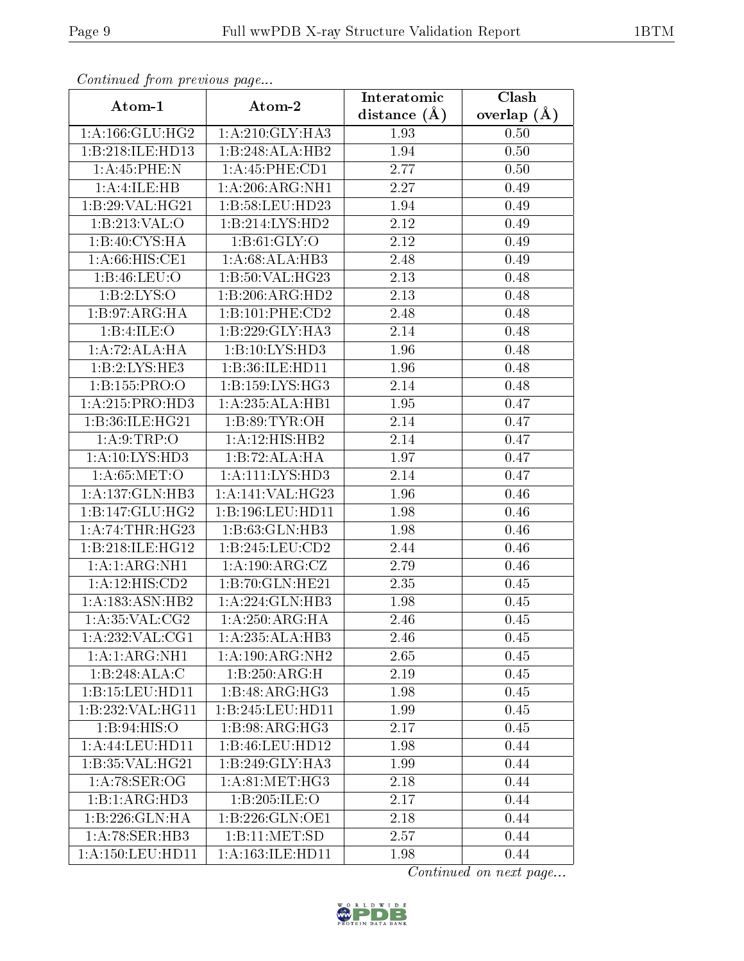| Communaca from previous page         |                             | Interatomic      | Clash           |
|--------------------------------------|-----------------------------|------------------|-----------------|
| Atom-1                               | Atom-2                      | distance $(\AA)$ | overlap $(\AA)$ |
| 1: A: 166: GLU: HG2                  | 1:A:210:GLY:HA3             | 1.93             | 0.50            |
| 1:B:218:ILE:HD13                     | 1:B:248:ALA:HB2             | 1.94             | 0.50            |
| 1:A:45:PHE:N                         | 1: A:45:PHE:CD1             | 2.77             | 0.50            |
| 1:A:1 <sub>L</sub> E:HB              | 1:A:206:ARG:NH1             | 2.27             | 0.49            |
| 1:B:29:VAL:HG21                      | 1:B:58:LEU:HD23             | 1.94             | 0.49            |
| 1: B:213: VAL:O                      | 1:B:214:LYS:HD2             | 2.12             | 0.49            |
| 1:B:40:CYS:HA                        | 1: B:61: GLY:O              | 2.12             | 0.49            |
| 1: A:66: HIS: CE1                    | 1: A:68: ALA:HB3            | 2.48             | 0.49            |
| 1: B:46: LEU:O                       | 1:B:50:VAL:HG23             | 2.13             | 0.48            |
| 1: B: 2: LYS: O                      | 1:B:206:ARG:HD2             | 2.13             | 0.48            |
| 1:B:97:ARG:HA                        | 1:B:101:PHE:CD2             | 2.48             | 0.48            |
| 1:B:4:ILE:O                          | 1:B:229:GLY:HA3             | 2.14             | 0.48            |
| 1:A:72:ALA:HA                        | 1:B:10:LYS:HD3              | 1.96             | 0.48            |
| 1:B:2:LYS:HE3                        | 1:B:36:ILE:HD11             | 1.96             | 0.48            |
| 1:B:155:PRO:O                        | 1:B:159:LYS:HG3             | 2.14             | 0.48            |
| 1:A:215:PRO:HD3                      | 1:A:235:ALA:HB1             | 1.95             | 0.47            |
| 1:B:36:ILE:HG21                      | 1: B:89: TYR:OH             | 2.14             | 0.47            |
| 1: A:9:TRP:O                         | $1:A:12:HIS:H\overline{B2}$ | 2.14             | 0.47            |
| 1:A:10:LYS:HD3                       | 1:B:72:ALA:HA               | 1.97             | 0.47            |
| 1: A:65: MET:O                       | 1: A: 111: LYS: HD3         | 2.14             | 0.47            |
| 1:A:137:GLN:HB3                      | 1:A:141:VAL:HG23            | 1.96             | 0.46            |
| 1:B:147:GLU:HG2                      | 1:B:196:LEU:HD11            | 1.98             | 0.46            |
| 1:A:74:THR:HG23                      | 1:B:63:GLN:HB3              | 1.98             | 0.46            |
| $1:B:218:I\overline{\text{LE:HG12}}$ | 1:B:245:LEU:CD2             | 2.44             | 0.46            |
| 1: A:1: ARG:NH1                      | 1: A: 190: ARG: CZ          | 2.79             | 0.46            |
| 1:A:12:HIS:CD2                       | 1:B:70:GLN:HE21             | 2.35             | 0.45            |
| 1: A: 183: ASN: HB2                  | 1:A:224:GLN:HB3             | 1.98             | 0.45            |
| 1: A:35: VAL:CG2                     | 1:A:250:ARG:HA              | 2.46             | 0.45            |
| 1:A:232:VAL:CG1                      | 1:A:235:ALA:HB3             | 2.46             | 0.45            |
| 1: A:1: ARG:NH1                      | 1:A:190:ARG:NH2             | 2.65             | 0.45            |
| 1:B:248:ALA:C                        | 1:B:250:ARG:H               | 2.19             | 0.45            |
| 1:B:15:LEU:HD11                      | 1:B:48:ARG:HG3              | $1.98\,$         | 0.45            |
| 1:B:232:VAL:HG11                     | 1:B:245:LEU:HD11            | 1.99             | 0.45            |
| 1:B:94:HIS:O                         | 1: B:98: ARG: HG3           | 2.17             | 0.45            |
| 1: A: 44: LEU: HD11                  | 1:B:46:LEU:HD12             | 1.98             | 0.44            |
| 1:B:35:VAL:HG21                      | 1:B:249:GLY:HA3             | 1.99             | 0.44            |
| 1: A:78: SER:OG                      | 1: A:81: MET:HG3            | 2.18             | 0.44            |
| 1:B:1:ARG:HD3                        | 1:B:205:ILE:O               | 2.17             | 0.44            |
| 1:B:226:GLN:HA                       | 1:B:226:GLN:OE1             | 2.18             | 0.44            |
| 1:A:78:SER:HB3                       | 1:B:11:MET:SD               | 2.57             | 0.44            |
| 1:A:150:LEU:HD11                     | 1: A: 163: ILE: HD11        | 1.98             | 0.44            |

Continued from previous page.

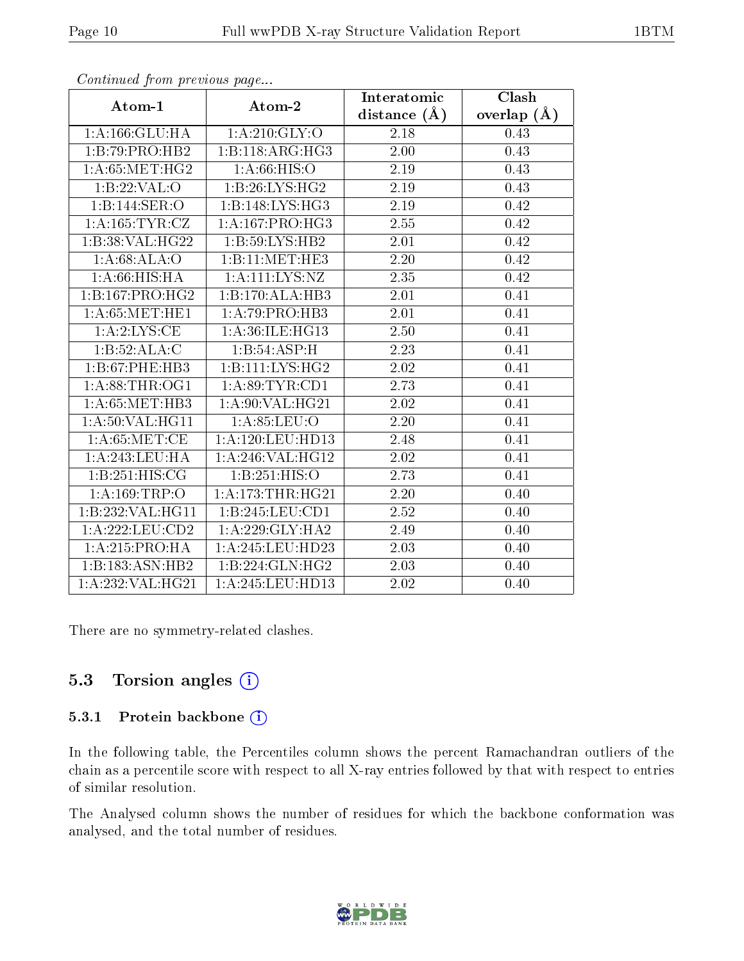|                    |                       | Interatomic    | Clash             |
|--------------------|-----------------------|----------------|-------------------|
| Atom-1             | Atom-2                | distance $(A)$ | overlap $(A)$     |
| 1: A: 166: GLU: HA | 1:A:210:GLY:O         | 2.18           | 0.43              |
| 1:B:79:PRO:HB2     | 1:B:118:ARG:HG3       | 2.00           | 0.43              |
| 1: A:65:MET:HG2    | 1: A:66: HIS:O        | 2.19           | 0.43              |
| 1:B:22:VAL:O       | 1:B:26:LYS:HG2        | 2.19           | 0.43              |
| 1:B:144:SER:O      | 1:B:148:LYS:HG3       | 2.19           | 0.42              |
| 1: A:165: TYR: CZ  | 1:A:167:PRO:HG3       | 2.55           | 0.42              |
| 1:B:38:VAL:HG22    | 1:B:59:LYS:HB2        | 2.01           | $\overline{0.42}$ |
| 1: A:68: ALA:O     | 1:B:11:MET:HE3        | 2.20           | 0.42              |
| 1: A:66: HIS: HA   | 1: A: 111: LYS: NZ    | 2.35           | 0.42              |
| 1:B:167:PRO:HG2    | 1:B:170:ALA:HB3       | 2.01           | 0.41              |
| 1: A:65:MET:HE1    | 1:A:79:PRO:HB3        | 2.01           | 0.41              |
| 1: A: 2: LYS: CE   | 1: A:36: ILE: HG13    | 2.50           | 0.41              |
| 1:B:52:ALA:C       | 1:B:54:ASP:H          | 2.23           | 0.41              |
| 1:B:67:PHE:HB3     | 1: B: 111: LYS: HG2   | 2.02           | 0.41              |
| 1: A:88:THR:OG1    | 1: A:89: TYR: CD1     | 2.73           | 0.41              |
| 1: A:65:MET:HB3    | 1: A:90: VAL:HG21     | 2.02           | 0.41              |
| 1: A:50: VAL:HGI1  | 1: A:85:LEU:O         | $2.20\,$       | 0.41              |
| 1: A:65: MET:CE    | $1: A: 120:$ LEU:HD13 | 2.48           | 0.41              |
| 1:A:243:LEU:HA     | 1: A:246: VAL:HG12    | 2.02           | 0.41              |
| 1:B:251:HIS:CG     | 1:B:251:HIS:O         | 2.73           | 0.41              |
| 1: A: 169: TRP: O  | 1:A:173:THR:HG21      | 2.20           | 0.40              |
| 1:B:232:VAL:HG11   | 1:B:245:LEU:CD1       | 2.52           | 0.40              |
| 1:A:222:LEU:CD2    | 1:A:229:GLY:HA2       | 2.49           | 0.40              |
| 1:A:215:PRO:HA     | 1:A:245:LEU:HD23      | 2.03           | 0.40              |
| 1:B:183:ASN:HB2    | 1:B:224:GLN:HG2       | 2.03           | 0.40              |
| 1:A:232:VAL:H G21  | 1:A:245:LEU:HD13      | 2.02           | 0.40              |

Continued from previous page...

There are no symmetry-related clashes.

#### 5.3 Torsion angles (i)

#### 5.3.1 Protein backbone (i)

In the following table, the Percentiles column shows the percent Ramachandran outliers of the chain as a percentile score with respect to all X-ray entries followed by that with respect to entries of similar resolution.

The Analysed column shows the number of residues for which the backbone conformation was analysed, and the total number of residues.

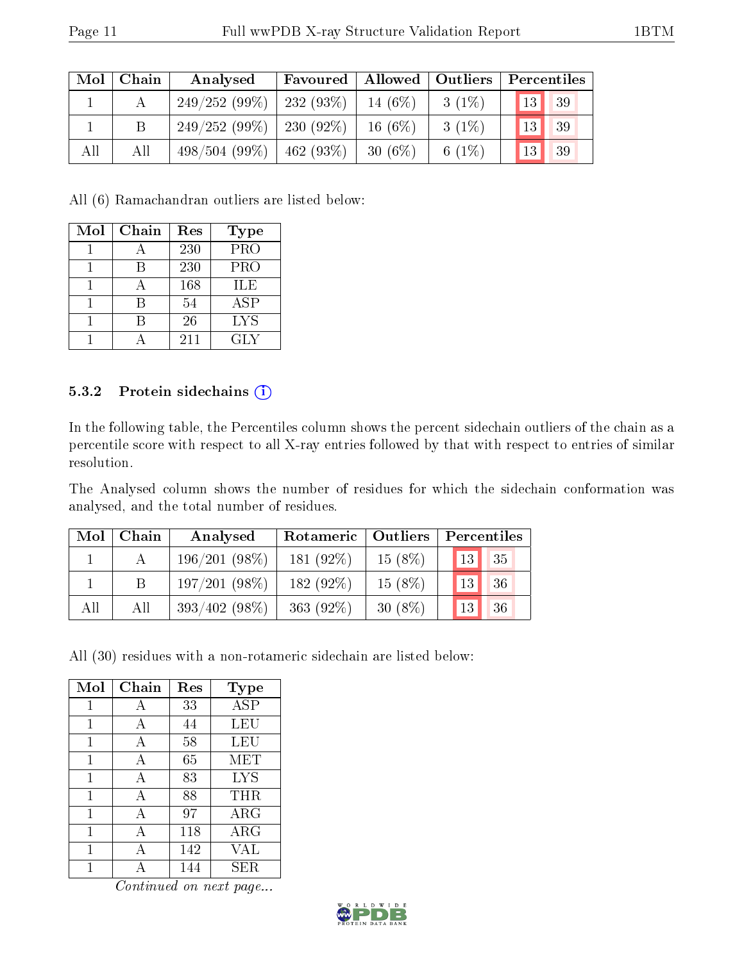| Mol | Chain | $\mid$ Allowed $\mid$ Outliers<br>Favoured  <br>Analysed |             |            | Percentiles |                       |
|-----|-------|----------------------------------------------------------|-------------|------------|-------------|-----------------------|
|     |       | $249/252(99\%)$   232 (93\%)                             |             | 14 $(6%)$  | $3(1\%)$    | 13 <sup>°</sup><br>39 |
|     | B     | $249/252(99\%)$ 230 (92\%)                               |             | $16(6\%)$  | $3(1\%)$    | 13<br>39              |
| All | All   | 498/504(99%)                                             | $462(93\%)$ | 30 $(6\%)$ | 6 $(1%)$    | 13<br>39              |

All (6) Ramachandran outliers are listed below:

| Mol | Chain | Res | Type       |
|-----|-------|-----|------------|
|     |       | 230 | PRO        |
|     | R     | 230 | PRO        |
|     |       | 168 | ILE        |
|     | R     | 54  | ASP        |
|     |       | 26  | <b>LYS</b> |
|     |       | 211 | GLY        |

#### 5.3.2 Protein sidechains (i)

In the following table, the Percentiles column shows the percent sidechain outliers of the chain as a percentile score with respect to all X-ray entries followed by that with respect to entries of similar resolution.

The Analysed column shows the number of residues for which the sidechain conformation was analysed, and the total number of residues.

| Mol | Chain | Analysed        | Rotameric    | $\vert$ Outliers | Percentiles     |                 |  |
|-----|-------|-----------------|--------------|------------------|-----------------|-----------------|--|
|     |       | $196/201(98\%)$ | $181(92\%)$  | 15(8%)           | 13 <sup>°</sup> | 35 <sub>1</sub> |  |
|     | B     | 197/201(98%)    | $182(92\%)$  | $15(8\%)$        | 13              | 36              |  |
| All | All   | $393/402(98\%)$ | 363 $(92\%)$ | $30(8\%)$        | 13              | 36              |  |

All (30) residues with a non-rotameric sidechain are listed below:

| Mol | Chain | Res | <b>Type</b>             |
|-----|-------|-----|-------------------------|
| 1   | А     | 33  | $\overline{\text{ASP}}$ |
| 1   | А     | 44  | LEU                     |
| 1   | А     | 58  | LEU                     |
| 1   | A     | 65  | MET                     |
| 1   | А     | 83  | <b>LYS</b>              |
| 1   | А     | 88  | THR                     |
| 1   | A     | 97  | $\rm{ARG}$              |
| 1   | А     | 118 | $\rm{ARG}$              |
| 1   | А     | 142 | VAL                     |
|     |       | 144 | SER.                    |

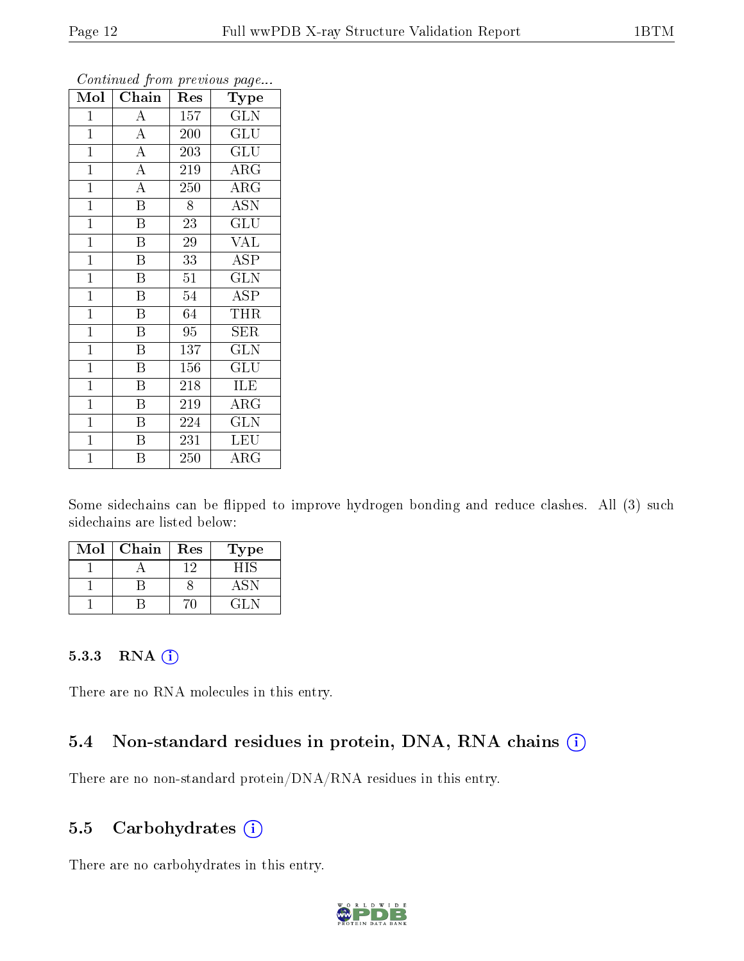| $\overline{\text{Mol}}$ | Chain                   | Res             | $\mathbf{r}$<br>ັ<br>Type      |
|-------------------------|-------------------------|-----------------|--------------------------------|
| $\mathbf{1}$            | $\boldsymbol{A}$        | 157             | GLN                            |
| $\mathbf{1}$            | $\overline{A}$          | 200             | $\mathrm{GL} \bar{\mathrm{U}}$ |
| $\mathbf{1}$            | $\overline{A}$          | 203             | $\overline{{\rm GLU}}$         |
| $\mathbf{1}$            | $\overline{A}$          | 219             | $\rm{ARG}$                     |
| $\overline{1}$          | $\overline{A}$          | 250             | $\overline{\rm{ARG}}$          |
| $\mathbf{1}$            | $\overline{\mathrm{B}}$ | 8               | <b>ASN</b>                     |
| $\mathbf{1}$            | $\overline{\mathrm{B}}$ | 23              | GLU                            |
| $\mathbf{1}$            | B                       | 29              | <b>VAL</b>                     |
| $\mathbf{1}$            | $\overline{\mathrm{B}}$ | 33              | <b>ASP</b>                     |
| $\mathbf{1}$            | $\overline{\mathrm{B}}$ | $\overline{51}$ | $\overline{\text{GLN}}$        |
| $\overline{1}$          | $\overline{\mathrm{B}}$ | 54              | <b>ASP</b>                     |
| $\overline{1}$          | Β                       | 64              | THR                            |
| $\mathbf{1}$            | B                       | 95              | SER                            |
| $\overline{1}$          | $\overline{\mathrm{B}}$ | 137             | <b>GLN</b>                     |
| $\mathbf{1}$            | $\overline{\mathrm{B}}$ | 156             | $\overline{{\rm GLU}}$         |
| $\mathbf{1}$            | $\overline{B}$          | 218             | ILE                            |
| $\mathbf{1}$            | Β                       | 219             | $\rm{ARG}$                     |
| $\mathbf{1}$            | $\overline{\mathrm{B}}$ | 224             | <b>GLN</b>                     |
| $\mathbf{1}$            | $\, {\bf B}$            | 231             | <b>LEU</b>                     |
| $\overline{1}$          | $\overline{\mathrm{B}}$ | 250             | $\rm{ARG}$                     |

Continued from previous page...

Some sidechains can be flipped to improve hydrogen bonding and reduce clashes. All (3) such sidechains are listed below:

| Mol | Chain | Res | Type |
|-----|-------|-----|------|
|     |       | -9  | HIS  |
|     |       |     |      |
|     |       |     | (11N |

#### 5.3.3 RNA (i)

There are no RNA molecules in this entry.

#### 5.4 Non-standard residues in protein, DNA, RNA chains  $(i)$

There are no non-standard protein/DNA/RNA residues in this entry.

#### 5.5 Carbohydrates  $(i)$

There are no carbohydrates in this entry.

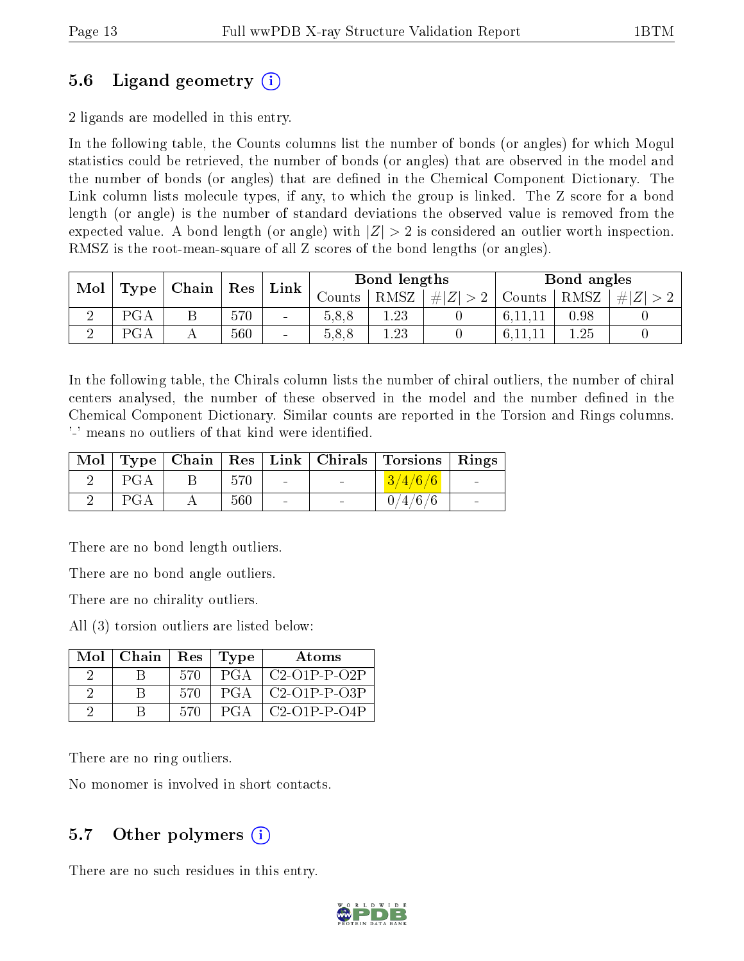### 5.6 Ligand geometry (i)

2 ligands are modelled in this entry.

In the following table, the Counts columns list the number of bonds (or angles) for which Mogul statistics could be retrieved, the number of bonds (or angles) that are observed in the model and the number of bonds (or angles) that are dened in the Chemical Component Dictionary. The Link column lists molecule types, if any, to which the group is linked. The Z score for a bond length (or angle) is the number of standard deviations the observed value is removed from the expected value. A bond length (or angle) with  $|Z| > 2$  is considered an outlier worth inspection. RMSZ is the root-mean-square of all Z scores of the bond lengths (or angles).

| Mol | $\vert$ Res<br>$\perp$ Type $\parallel$ Chain $\perp$ |   | Bond lengths<br>$Link \mid$ |                | Bond angles |      |         |            |      |     |
|-----|-------------------------------------------------------|---|-----------------------------|----------------|-------------|------|---------|------------|------|-----|
|     |                                                       |   |                             |                | Counts      | RMSZ | $\# Z $ | Counts $ $ | RMSZ | H Z |
|     | PGA                                                   | ◡ | 570                         | $\blacksquare$ | 5,8,8       | .23  |         |            | 0.98 |     |
|     | PGA                                                   |   | 560                         | $\blacksquare$ | 5.8,8       | 1.23 |         |            |      |     |

In the following table, the Chirals column lists the number of chiral outliers, the number of chiral centers analysed, the number of these observed in the model and the number defined in the Chemical Component Dictionary. Similar counts are reported in the Torsion and Rings columns. '-' means no outliers of that kind were identified.

|     |     |                          | Mol   Type   Chain   Res   Link   Chirals   Torsions   Rings |                 |
|-----|-----|--------------------------|--------------------------------------------------------------|-----------------|
| PGA | 570 | <b>Contract Contract</b> | 3/4/6/6                                                      |                 |
| PGA | 560 | $\sim$ 100 $\mu$         | 0/4/6/6                                                      | $\qquad \qquad$ |

There are no bond length outliers.

There are no bond angle outliers.

There are no chirality outliers.

All (3) torsion outliers are listed below:

| Mol | Chain |     | Res   Type | Atoms               |
|-----|-------|-----|------------|---------------------|
|     |       | 570 | PGA.       | $\mid$ C2-O1P-P-O2P |
|     |       | 570 | PGA        | C2-O1P-P-O3P        |
|     |       | 570 | PGA        | $C2-01P-P-04P$      |

There are no ring outliers.

No monomer is involved in short contacts.

#### 5.7 [O](https://www.wwpdb.org/validation/2017/XrayValidationReportHelp#nonstandard_residues_and_ligands)ther polymers  $(i)$

There are no such residues in this entry.

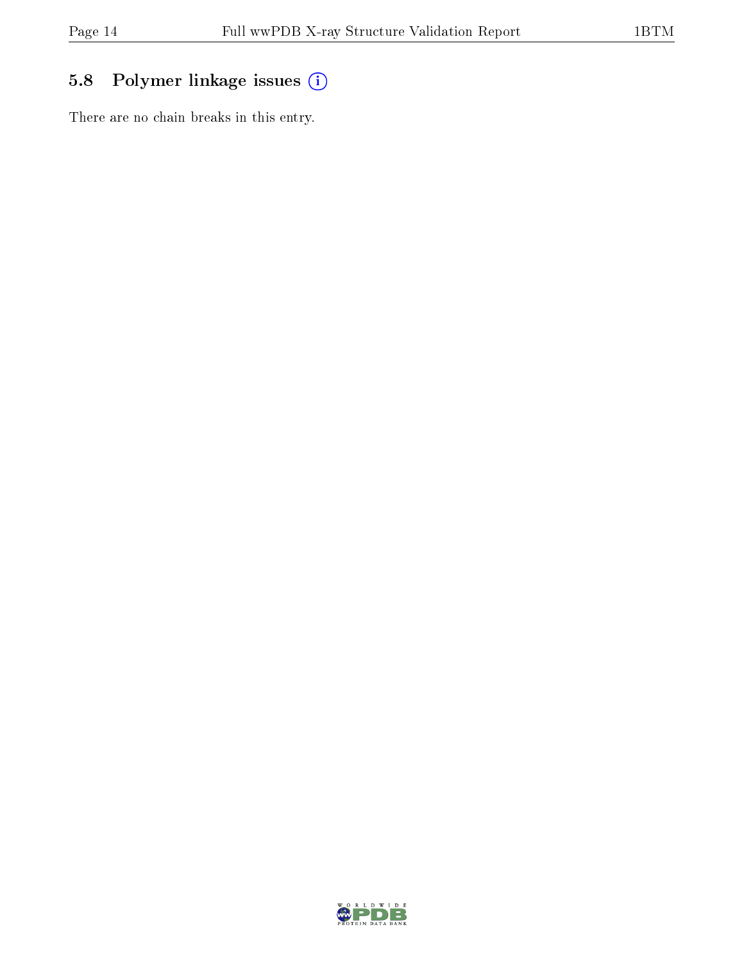### 5.8 Polymer linkage issues (i)

There are no chain breaks in this entry.